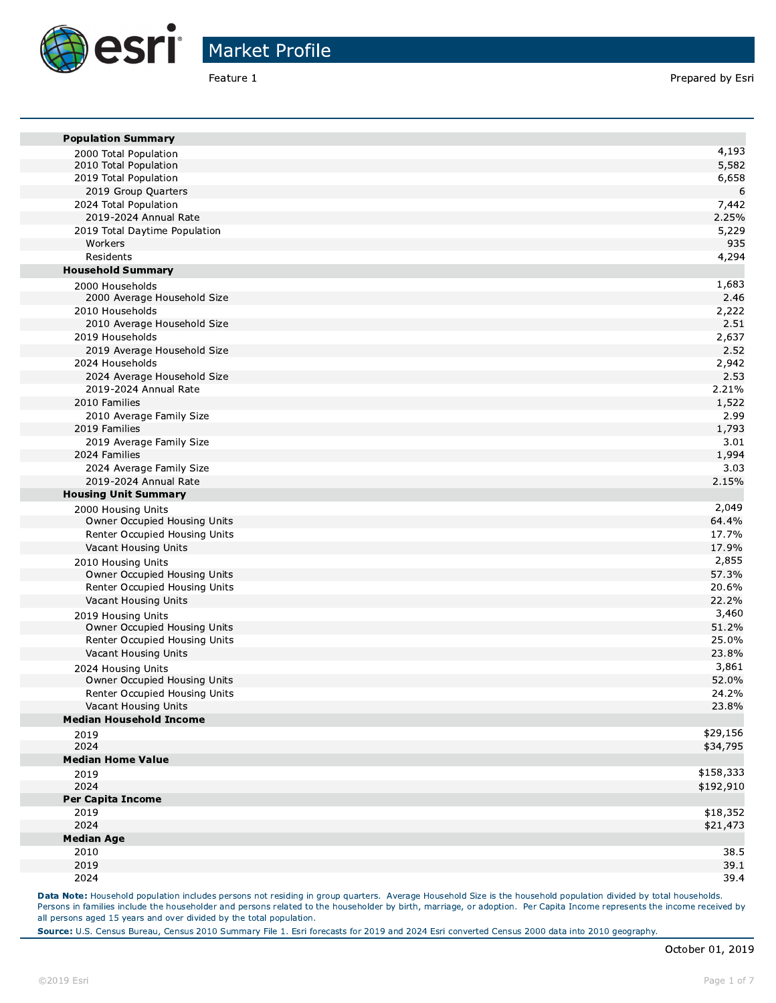

| <b>Population Summary</b>      |           |
|--------------------------------|-----------|
| 2000 Total Population          | 4,193     |
| 2010 Total Population          | 5,582     |
| 2019 Total Population          | 6,658     |
| 2019 Group Quarters            | 6         |
| 2024 Total Population          | 7,442     |
| 2019-2024 Annual Rate          | 2.25%     |
| 2019 Total Daytime Population  | 5,229     |
| Workers                        | 935       |
| Residents                      | 4,294     |
| <b>Household Summary</b>       |           |
| 2000 Households                | 1,683     |
| 2000 Average Household Size    | 2.46      |
| 2010 Households                | 2,222     |
| 2010 Average Household Size    | 2.51      |
| 2019 Households                | 2,637     |
| 2019 Average Household Size    | 2.52      |
| 2024 Households                | 2,942     |
| 2024 Average Household Size    | 2.53      |
| 2019-2024 Annual Rate          | 2.21%     |
| 2010 Families                  | 1,522     |
| 2010 Average Family Size       | 2.99      |
| 2019 Families                  | 1,793     |
| 2019 Average Family Size       | 3.01      |
| 2024 Families                  | 1,994     |
| 2024 Average Family Size       | 3.03      |
| 2019-2024 Annual Rate          | 2.15%     |
| <b>Housing Unit Summary</b>    |           |
| 2000 Housing Units             | 2,049     |
| Owner Occupied Housing Units   | 64.4%     |
| Renter Occupied Housing Units  | 17.7%     |
| Vacant Housing Units           | 17.9%     |
| 2010 Housing Units             | 2,855     |
| Owner Occupied Housing Units   | 57.3%     |
| Renter Occupied Housing Units  | 20.6%     |
| Vacant Housing Units           | 22.2%     |
| 2019 Housing Units             | 3,460     |
| Owner Occupied Housing Units   | 51.2%     |
| Renter Occupied Housing Units  | 25.0%     |
| Vacant Housing Units           | 23.8%     |
| 2024 Housing Units             | 3,861     |
| Owner Occupied Housing Units   | 52.0%     |
| Renter Occupied Housing Units  | 24.2%     |
| Vacant Housing Units           | 23.8%     |
| <b>Median Household Income</b> |           |
| 2019                           | \$29,156  |
| 2024                           | \$34,795  |
| <b>Median Home Value</b>       |           |
| 2019                           | \$158,333 |
| 2024                           | \$192,910 |
| <b>Per Capita Income</b>       |           |
| 2019                           | \$18,352  |
| 2024                           | \$21,473  |
| <b>Median Age</b>              |           |
| 2010                           | 38.5      |
| 2019                           | 39.1      |
| 2024                           | 39.4      |

Data Note: Household population includes persons not residing in group quarters. Average Household Size is the household population divided by total households. Persons in families include the householder and persons related to the householder by birth, marriage, or adoption. Per Capita Income represents the income received by all persons aged 15 years and over divided by the total population.

Source: U.S. Census Bureau, Census 2010 Summary File 1. Esri forecasts for 2019 and 2024 Esri converted Census 2000 data into 2010 geography.

m

×

**The State**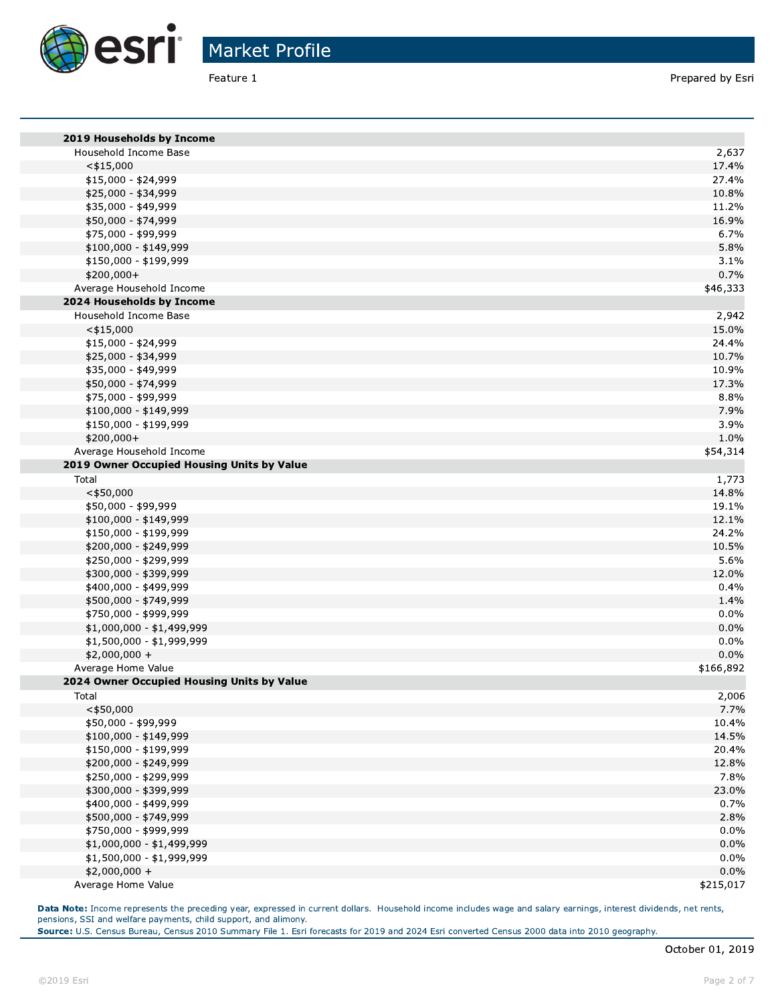

| Feature 1                                   | Prepared by Es  |
|---------------------------------------------|-----------------|
|                                             |                 |
| 2019 Households by Income                   |                 |
| Household Income Base                       | 2,637           |
| $<$ \$15,000                                | 17.4%           |
| \$15,000 - \$24,999                         | 27.4%           |
| \$25,000 - \$34,999                         | 10.8%<br>11.2%  |
| \$35,000 - \$49,999<br>\$50,000 - \$74,999  | 16.9%           |
| \$75,000 - \$99,999                         | 6.7%            |
| \$100,000 - \$149,999                       | 5.8%            |
| \$150,000 - \$199,999                       | 3.1%            |
| \$200,000+                                  | 0.7%            |
| Average Household Income                    | \$46,333        |
| 2024 Households by Income                   |                 |
| Household Income Base                       | 2,942           |
| $<$ \$15,000                                | 15.0%           |
| \$15,000 - \$24,999                         | 24.4%           |
| \$25,000 - \$34,999                         | 10.7%           |
| \$35,000 - \$49,999                         | 10.9%           |
| \$50,000 - \$74,999                         | 17.3%           |
| \$75,000 - \$99,999                         | 8.8%            |
| \$100,000 - \$149,999                       | 7.9%            |
| \$150,000 - \$199,999                       | 3.9%            |
| \$200,000+                                  | 1.0%            |
| Average Household Income                    | \$54,314        |
| 2019 Owner Occupied Housing Units by Value  |                 |
| Total                                       | 1,773           |
| $<$ \$50,000                                | 14.8%           |
| \$50,000 - \$99,999                         | 19.1%           |
| \$100,000 - \$149,999                       | 12.1%           |
| \$150,000 - \$199,999                       | 24.2%           |
| \$200,000 - \$249,999                       | 10.5%           |
| \$250,000 - \$299,999                       | 5.6%            |
| \$300,000 - \$399,999                       | 12.0%           |
| \$400,000 - \$499,999                       | 0.4%            |
| \$500,000 - \$749,999                       | 1.4%            |
| \$750,000 - \$999,999                       | $0.0\%$         |
| \$1,000,000 - \$1,499,999                   | 0.0%            |
| \$1,500,000 - \$1,999,999<br>$$2,000,000 +$ | $0.0\%$<br>0.0% |
| Average Home Value                          | \$166,892       |
| 2024 Owner Occupied Housing Units by Value  |                 |
| Total                                       | 2,006           |
| $<$ \$50,000                                | 7.7%            |
| \$50,000 - \$99,999                         | 10.4%           |
| \$100,000 - \$149,999                       | 14.5%           |
| \$150,000 - \$199,999                       | 20.4%           |
| \$200,000 - \$249,999                       | 12.8%           |
| \$250,000 - \$299,999                       | 7.8%            |
| \$300,000 - \$399,999                       | 23.0%           |
| \$400,000 - \$499,999                       | 0.7%            |
| \$500,000 - \$749,999                       | 2.8%            |
| \$750,000 - \$999,999                       | 0.0%            |
| \$1,000,000 - \$1,499,999                   | 0.0%            |
| \$1,500,000 - \$1,999,999                   | $0.0\%$         |
| $$2,000,000 +$                              | 0.0%            |
| Average Home Value                          | \$215,017       |
|                                             |                 |

**Data Note:** Income represents the preceding year, expressed in current dollars. Household income includes wage and salary earnings, interest dividends, het rents, pensions, SSI and weirare payments, child support, and allmony.

**Source:** U.S. Census Bureau, Census 2010 Summary File 1. Esri forecasts for 2019 and 2024 Esri converted Census 2000 data into 2010 geography.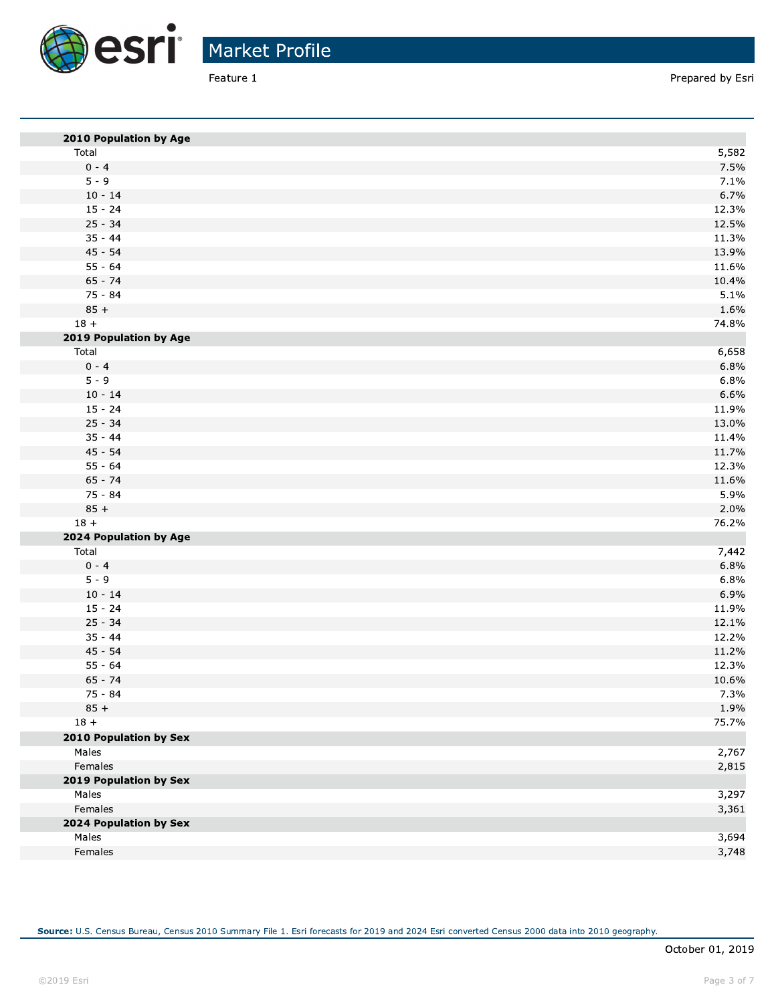

| 2010 Population by Age |       |
|------------------------|-------|
| Total                  | 5,582 |
| $0 - 4$                | 7.5%  |
| $5 - 9$                | 7.1%  |
| $10 - 14$              | 6.7%  |
| $15 - 24$              | 12.3% |
| $25 - 34$              | 12.5% |
| $35 - 44$              | 11.3% |
| $45 - 54$              | 13.9% |
| $55 - 64$              | 11.6% |
| $65 - 74$              | 10.4% |
| $75 - 84$              | 5.1%  |
| $85 +$                 | 1.6%  |
| $18 +$                 | 74.8% |
| 2019 Population by Age |       |
| Total                  | 6,658 |
| $0 - 4$                | 6.8%  |
| $5 - 9$                | 6.8%  |
| $10 - 14$              | 6.6%  |
| $15 - 24$              | 11.9% |
| $25 - 34$              | 13.0% |
| $35 - 44$              | 11.4% |
| $45 - 54$              | 11.7% |
| $55 - 64$              | 12.3% |
| $65 - 74$              | 11.6% |
| $75 - 84$              | 5.9%  |
| $85 +$                 | 2.0%  |
| $18 +$                 | 76.2% |
| 2024 Population by Age |       |
| Total                  | 7,442 |
| $0 - 4$                | 6.8%  |
| $5 - 9$                | 6.8%  |
| $10 - 14$              | 6.9%  |
| $15 - 24$              | 11.9% |
| $25 - 34$              | 12.1% |
| $35 - 44$              | 12.2% |
| $45 - 54$              | 11.2% |
| $55 - 64$              | 12.3% |
| $65 - 74$              | 10.6% |
| $75 - 84$              | 7.3%  |
| $85 +$                 | 1.9%  |
| $18 +$                 | 75.7% |
| 2010 Population by Sex |       |
| Males                  | 2,767 |
| Females                | 2,815 |
| 2019 Population by Sex |       |
| Males                  | 3,297 |
| Females                | 3,361 |
| 2024 Population by Sex |       |
| Males                  | 3,694 |
| Females                | 3,748 |
|                        |       |

Source: U.S. Census Bureau, Census 2010 Summary File 1. Esri forecasts for 2019 and 2024 Esri converted Census 2000 data into 2010 geography.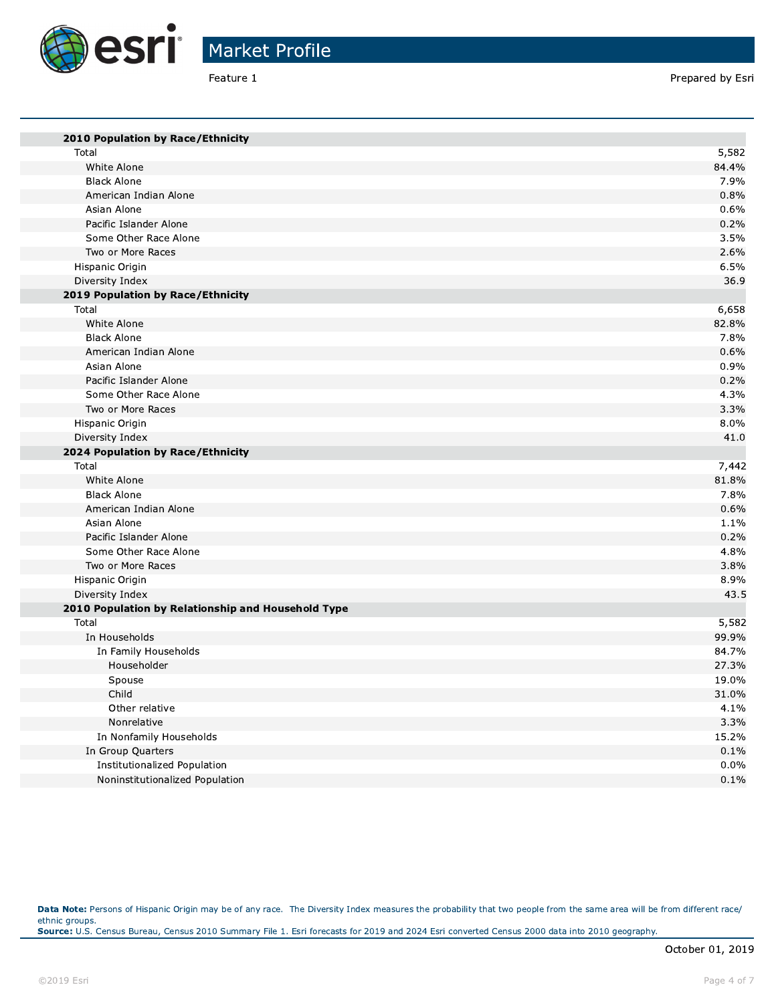

Prepared by Esri

| 2010 Population by Race/Ethnicity                  |         |
|----------------------------------------------------|---------|
| Total                                              | 5,582   |
| White Alone                                        | 84.4%   |
| <b>Black Alone</b>                                 | 7.9%    |
| American Indian Alone                              | 0.8%    |
| Asian Alone                                        | 0.6%    |
| Pacific Islander Alone                             | 0.2%    |
| Some Other Race Alone                              | 3.5%    |
| Two or More Races                                  | 2.6%    |
| Hispanic Origin                                    | 6.5%    |
| Diversity Index                                    | 36.9    |
| 2019 Population by Race/Ethnicity                  |         |
| Total                                              | 6,658   |
| White Alone                                        | 82.8%   |
| <b>Black Alone</b>                                 | 7.8%    |
| American Indian Alone                              | 0.6%    |
| Asian Alone                                        | 0.9%    |
| Pacific Islander Alone                             | 0.2%    |
| Some Other Race Alone                              | 4.3%    |
| Two or More Races                                  | 3.3%    |
| Hispanic Origin                                    | 8.0%    |
| Diversity Index                                    | 41.0    |
| 2024 Population by Race/Ethnicity                  |         |
| Total                                              | 7,442   |
| White Alone                                        | 81.8%   |
| <b>Black Alone</b>                                 | 7.8%    |
| American Indian Alone                              | 0.6%    |
| Asian Alone                                        | 1.1%    |
| Pacific Islander Alone                             | 0.2%    |
| Some Other Race Alone                              | 4.8%    |
| Two or More Races                                  | 3.8%    |
| Hispanic Origin                                    | 8.9%    |
| Diversity Index                                    | 43.5    |
| 2010 Population by Relationship and Household Type |         |
| Total                                              | 5,582   |
| In Households                                      | 99.9%   |
| In Family Households                               | 84.7%   |
| Householder                                        | 27.3%   |
| Spouse                                             | 19.0%   |
| Child                                              | 31.0%   |
| Other relative                                     | 4.1%    |
| Nonrelative                                        | 3.3%    |
| In Nonfamily Households                            | 15.2%   |
| In Group Quarters                                  | 0.1%    |
| Institutionalized Population                       | 0.0%    |
| Noninstitutionalized Population                    | $0.1\%$ |

Data Note: Persons of Hispanic Origin may be of any race. The Diversity Index measures the probability that two people from the same area will be from different race/ ethnic groups.<br>Source: U.S. Census Bureau, Census 2010 Summary File 1. Esri forecasts for 2019 and 2024 Esri converted Census 2000 data into 2010 geography.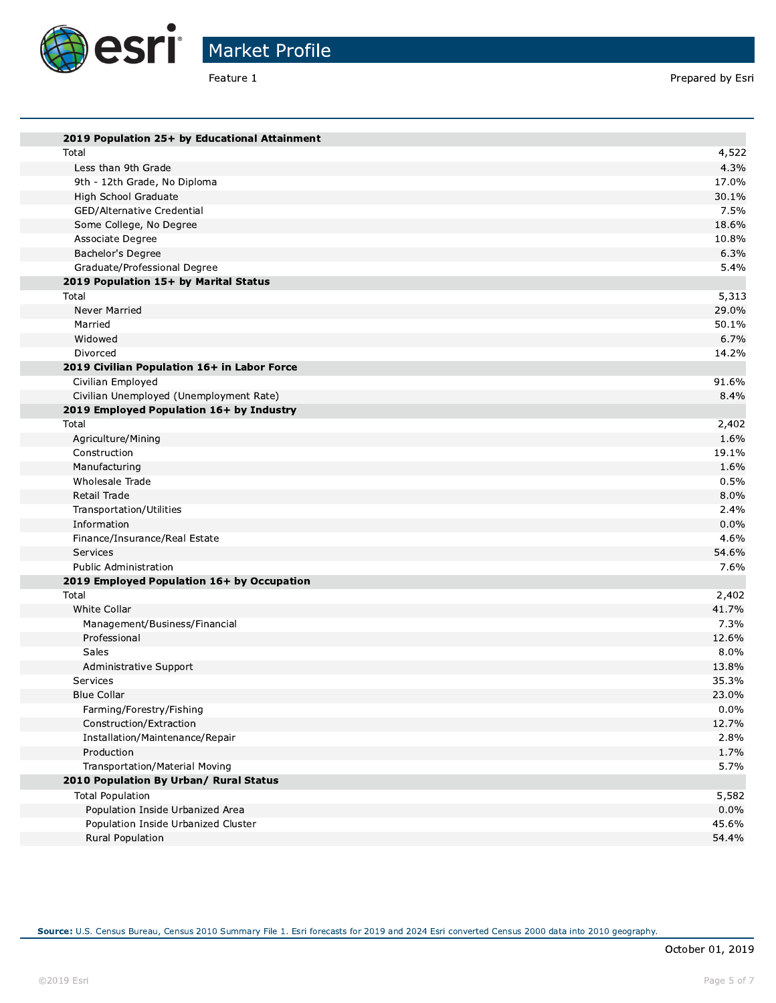

Prepared by Esri

| 2019 Population 25+ by Educational Attainment           |                |
|---------------------------------------------------------|----------------|
| Total                                                   | 4,522          |
| Less than 9th Grade                                     | 4.3%           |
| 9th - 12th Grade, No Diploma                            | 17.0%          |
| High School Graduate                                    | 30.1%          |
| GED/Alternative Credential                              | 7.5%           |
| Some College, No Degree                                 | 18.6%          |
| Associate Degree                                        | 10.8%          |
| Bachelor's Degree                                       | 6.3%           |
| Graduate/Professional Degree                            | 5.4%           |
| 2019 Population 15+ by Marital Status                   |                |
| Total                                                   | 5,313          |
| Never Married                                           | 29.0%          |
| Married                                                 | 50.1%          |
| Widowed                                                 | 6.7%           |
| Divorced                                                | 14.2%          |
| 2019 Civilian Population 16+ in Labor Force             |                |
| Civilian Employed                                       | 91.6%          |
| Civilian Unemployed (Unemployment Rate)                 | 8.4%           |
| 2019 Employed Population 16+ by Industry                |                |
| Total                                                   | 2,402          |
| Agriculture/Mining                                      | 1.6%           |
| Construction                                            | 19.1%          |
| Manufacturing                                           | 1.6%           |
| Wholesale Trade                                         | 0.5%           |
| Retail Trade                                            | 8.0%           |
| Transportation/Utilities                                | 2.4%           |
| Information                                             | 0.0%           |
| Finance/Insurance/Real Estate                           | 4.6%           |
| Services                                                | 54.6%          |
| <b>Public Administration</b>                            | 7.6%           |
| 2019 Employed Population 16+ by Occupation              |                |
| Total                                                   | 2,402          |
| White Collar                                            | 41.7%          |
| Management/Business/Financial                           | 7.3%           |
| Professional                                            | 12.6%          |
| Sales                                                   | 8.0%           |
| Administrative Support                                  | 13.8%          |
| Services                                                | 35.3%          |
| <b>Blue Collar</b>                                      | 23.0%          |
| Farming/Forestry/Fishing                                | $0.0\%$        |
| Construction/Extraction                                 | 12.7%          |
| Installation/Maintenance/Repair                         | 2.8%           |
| Production                                              | 1.7%           |
| Transportation/Material Moving                          | 5.7%           |
| 2010 Population By Urban/ Rural Status                  |                |
| <b>Total Population</b>                                 | 5,582          |
| Population Inside Urbanized Area                        | $0.0\%$        |
| Population Inside Urbanized Cluster<br>Rural Population | 45.6%<br>54.4% |
|                                                         |                |

Source: U.S. Census Bureau, Census 2010 Summary File 1. Esri forecasts for 2019 and 2024 Esri converted Census 2000 data into 2010 geography.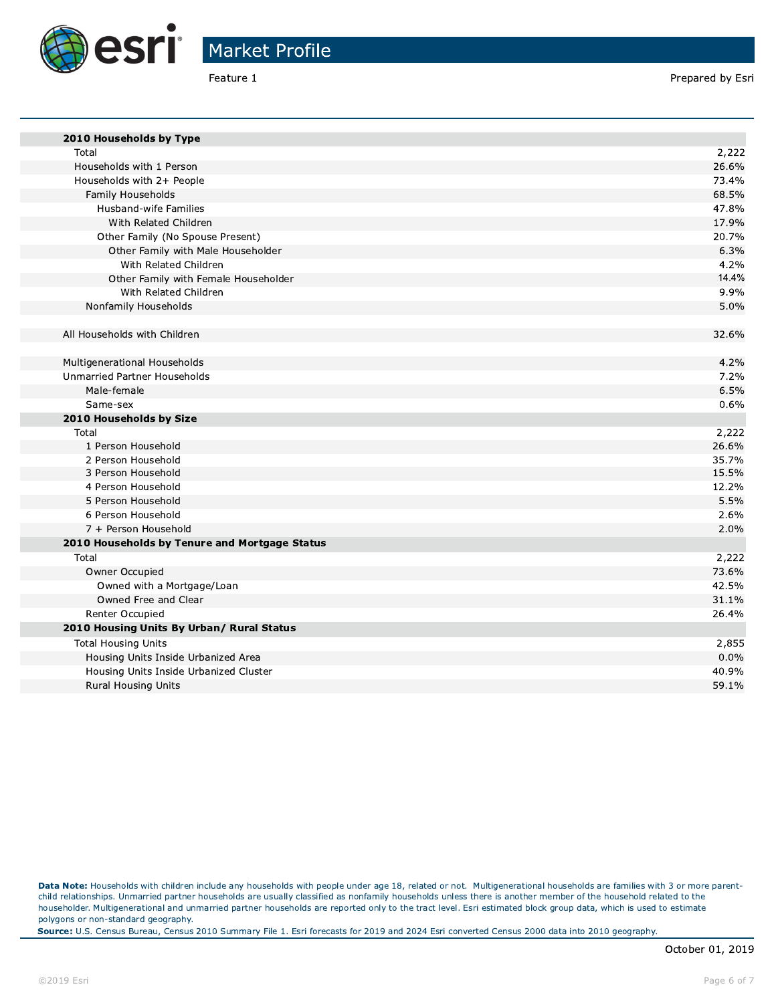

Prepared by Esri

| 2010 Households by Type                       |       |
|-----------------------------------------------|-------|
| Total                                         | 2,222 |
| Households with 1 Person                      | 26.6% |
| Households with 2+ People                     | 73.4% |
| Family Households                             | 68.5% |
| Husband-wife Families                         | 47.8% |
| With Related Children                         | 17.9% |
| Other Family (No Spouse Present)              | 20.7% |
| Other Family with Male Householder            | 6.3%  |
| With Related Children                         | 4.2%  |
| Other Family with Female Householder          | 14.4% |
| With Related Children                         | 9.9%  |
| Nonfamily Households                          | 5.0%  |
| All Households with Children                  | 32.6% |
|                                               |       |
| Multigenerational Households                  | 4.2%  |
| <b>Unmarried Partner Households</b>           | 7.2%  |
| Male-female                                   | 6.5%  |
| Same-sex                                      | 0.6%  |
| 2010 Households by Size                       |       |
| Total                                         | 2,222 |
| 1 Person Household                            | 26.6% |
| 2 Person Household                            | 35.7% |
| 3 Person Household                            | 15.5% |
| 4 Person Household                            | 12.2% |
| 5 Person Household                            | 5.5%  |
| 6 Person Household                            | 2.6%  |
| 7 + Person Household                          | 2.0%  |
| 2010 Households by Tenure and Mortgage Status |       |
| Total                                         | 2,222 |
| Owner Occupied                                | 73.6% |
| Owned with a Mortgage/Loan                    | 42.5% |
| Owned Free and Clear                          | 31.1% |
| Renter Occupied                               | 26.4% |
| 2010 Housing Units By Urban/ Rural Status     |       |
| <b>Total Housing Units</b>                    | 2,855 |
| Housing Units Inside Urbanized Area           | 0.0%  |
| Housing Units Inside Urbanized Cluster        | 40.9% |
| <b>Rural Housing Units</b>                    | 59.1% |
|                                               |       |

Data Note: Households with children include any households with people under age 18, related or not. Multigenerational households are families with 3 or more parentchild relationships. Unmarried partner households are usually classified as nonfamily households unless there is another member of the household related to the householder. Multigenerational and unmarried partner households are reported only to the tract level. Esri estimated block group data, which is used to estimate polygons or non-standard geography.

Source: U.S. Census Bureau, Census 2010 Summary File 1. Esri forecasts for 2019 and 2024 Esri converted Census 2000 data into 2010 geography.

a.